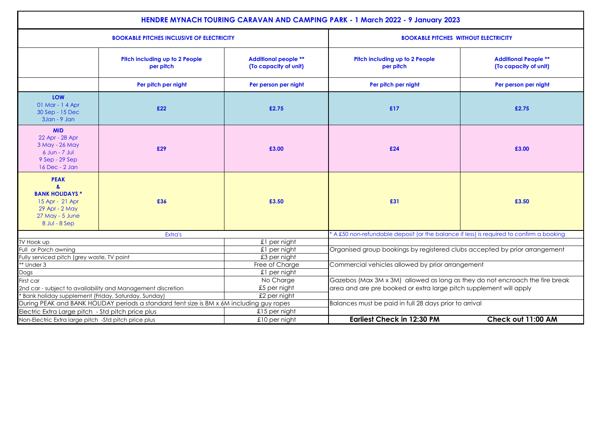| <b>HENDRE MYNACH TOURING CARAVAN AND CAMPING PARK - 1 March 2022 - 9 January 2023</b>                                                                            |                                             |                                                      |                                                                                          |                                                      |  |  |  |
|------------------------------------------------------------------------------------------------------------------------------------------------------------------|---------------------------------------------|------------------------------------------------------|------------------------------------------------------------------------------------------|------------------------------------------------------|--|--|--|
| <b>BOOKABLE PITCHES INCLUSIVE OF ELECTRICITY</b>                                                                                                                 |                                             |                                                      | <b>BOOKABLE PITCHES WITHOUT ELECTRICITY</b>                                              |                                                      |  |  |  |
|                                                                                                                                                                  | Pitch including up to 2 People<br>per pitch | <b>Additional people **</b><br>(To capacity of unit) | Pitch including up to 2 People<br>per pitch                                              | <b>Additional People **</b><br>(To capacity of unit) |  |  |  |
|                                                                                                                                                                  | Per pitch per night                         | Per person per night                                 | Per pitch per night                                                                      | Per person per night                                 |  |  |  |
| LOW<br>01 Mar - 1 4 Apr<br>30 Sep - 15 Dec<br>3Jan - 9 Jan                                                                                                       | £22                                         | £2.75                                                | £17                                                                                      | £2.75                                                |  |  |  |
| <b>MID</b><br>22 Apr - 28 Apr<br>3 May - 26 May<br>6 Jun - 7 Jul<br>9 Sep - 29 Sep<br>16 Dec - 2 Jan                                                             | £29                                         | £3.00                                                | £24                                                                                      | £3.00                                                |  |  |  |
| <b>PEAK</b><br>$\mathbf{a}$<br><b>BANK HOLIDAYS *</b><br>15 Apr - 21 Apr<br>29 Apr - 2 May<br>27 May - 5 June<br>8 Jul - 8 Sep                                   | £36                                         | £3.50                                                | £31                                                                                      | £3.50                                                |  |  |  |
| Extra's                                                                                                                                                          |                                             |                                                      | * A £50 non-refundable deposit (or the balance if less) is required to confirm a booking |                                                      |  |  |  |
| TV Hook up                                                                                                                                                       |                                             | £1 per night                                         |                                                                                          |                                                      |  |  |  |
| Full or Porch awning                                                                                                                                             |                                             | £1 per night                                         | Organised group bookings by registered clubs accepted by prior arrangement               |                                                      |  |  |  |
| Fully serviced pitch (grey waste, TV point                                                                                                                       |                                             | £3 per night                                         |                                                                                          |                                                      |  |  |  |
| ** Under 3                                                                                                                                                       |                                             | Free of Charge                                       | Commercial vehicles allowed by prior arrangement                                         |                                                      |  |  |  |
| Dogs                                                                                                                                                             |                                             | £1 per night                                         |                                                                                          |                                                      |  |  |  |
| First car                                                                                                                                                        |                                             | No Charge                                            | Gazebos (Max 3M x 3M) allowed as long as they do not encroach the fire break             |                                                      |  |  |  |
| 2nd car - subject to availability and Management discretion                                                                                                      |                                             | £5 per night                                         | area and are pre booked or extra large pitch supplement will apply                       |                                                      |  |  |  |
| £2 per night<br>* Bank holiday supplement (Friday, Saturday, Sunday)<br>During PEAK and BANK HOLIDAY periods a standard tent size is 8M x 6M including guy ropes |                                             |                                                      | Balances must be paid in full 28 days prior to arrival                                   |                                                      |  |  |  |
| Electric Extra Large pitch - Std pitch price plus<br>$£15$ per night                                                                                             |                                             |                                                      |                                                                                          |                                                      |  |  |  |
|                                                                                                                                                                  |                                             |                                                      |                                                                                          |                                                      |  |  |  |
| Non-Electric Extra large pitch -Std pitch price plus                                                                                                             |                                             | $£10$ per night                                      | <b>Earliest Check in 12:30 PM</b>                                                        | Check out 11:00 AM                                   |  |  |  |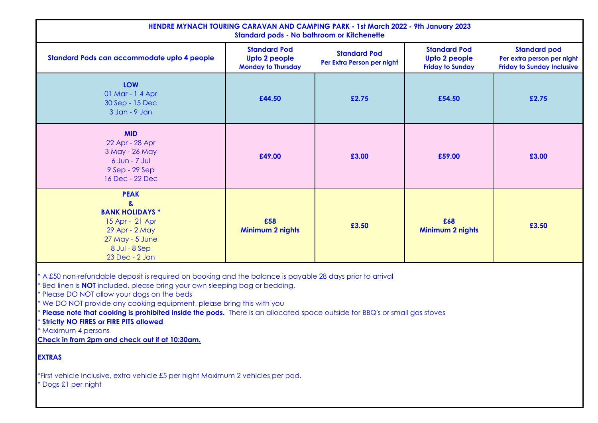| HENDRE MYNACH TOURING CARAVAN AND CAMPING PARK - 1st March 2022 - 9th January 2023<br><b>Standard pods - No bathroom or Kitchenette</b>              |                                                                   |                                                   |                                                                 |                                                                                        |  |  |  |
|------------------------------------------------------------------------------------------------------------------------------------------------------|-------------------------------------------------------------------|---------------------------------------------------|-----------------------------------------------------------------|----------------------------------------------------------------------------------------|--|--|--|
| Standard Pods can accommodate upto 4 people                                                                                                          | <b>Standard Pod</b><br>Upto 2 people<br><b>Monday to Thursday</b> | <b>Standard Pod</b><br>Per Extra Person per night | <b>Standard Pod</b><br>Upto 2 people<br><b>Friday to Sunday</b> | <b>Standard pod</b><br>Per extra person per night<br><b>Friday to Sunday Inclusive</b> |  |  |  |
| <b>LOW</b><br>01 Mar - 1 4 Apr<br>30 Sep - 15 Dec<br>3 Jan - 9 Jan                                                                                   | £44.50                                                            | £2.75                                             | £54.50                                                          | £2.75                                                                                  |  |  |  |
| <b>MID</b><br>22 Apr - 28 Apr<br>3 May - 26 May<br>$6$ Jun - $7$ Jul<br>9 Sep - 29 Sep<br>16 Dec - 22 Dec                                            | £49.00                                                            | £3.00                                             | £59.00                                                          | £3.00                                                                                  |  |  |  |
| <b>PEAK</b><br>$\mathbf{a}$<br><b>BANK HOLIDAYS *</b><br>15 Apr - 21 Apr<br>29 Apr - 2 May<br>$27$ May - $5$ June<br>8 Jul - 8 Sep<br>23 Dec - 2 Jan | £58<br>Minimum 2 nights                                           | £3.50                                             | £68<br>Minimum 2 nights                                         | £3.50                                                                                  |  |  |  |

\* A £50 non-refundable deposit is required on booking and the balance is payable 28 days prior to arrival

\* Bed linen is **NOT** included, please bring your own sleeping bag or bedding.

\* Please DO NOT allow your dogs on the beds

\* We DO NOT provide any cooking equipment, please bring this with you

\* **Please note that cooking is prohibited inside the pods.** There is an allocated space outside for BBQ's or small gas stoves

**Strictly NO FIRES or FIRE PITS allowed** 

\* Maximum 4 persons

**Check in from 2pm and check out if at 10:30am.**

## **EXTRAS**

\*First vehicle inclusive, extra vehicle £5 per night Maximum 2 vehicles per pod.

\* Dogs £1 per night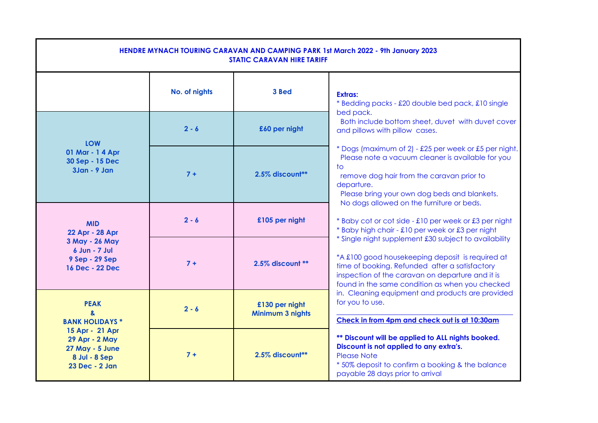| HENDRE MYNACH TOURING CARAVAN AND CAMPING PARK 1st March 2022 - 9th January 2023<br><b>STATIC CARAVAN HIRE TARIFF</b> |               |                                    |                                                                                                                                                                                                                                                                                      |  |  |  |
|-----------------------------------------------------------------------------------------------------------------------|---------------|------------------------------------|--------------------------------------------------------------------------------------------------------------------------------------------------------------------------------------------------------------------------------------------------------------------------------------|--|--|--|
|                                                                                                                       | No. of nights | 3 Bed                              | <b>Extras:</b><br>* Bedding packs - £20 double bed pack, £10 single                                                                                                                                                                                                                  |  |  |  |
| <b>LOW</b>                                                                                                            | $2 - 6$       | £60 per night                      | bed pack.<br>Both include bottom sheet, duvet with duvet cover<br>and pillows with pillow cases.                                                                                                                                                                                     |  |  |  |
| 01 Mar - 1 4 Apr<br>30 Sep - 15 Dec<br>$3$ Jan - $9$ Jan                                                              | $7 +$         | 2.5% discount**                    | * Dogs (maximum of 2) - £25 per week or £5 per night.<br>Please note a vacuum cleaner is available for you<br>$\overline{f}$<br>remove dog hair from the caravan prior to<br>departure.<br>Please bring your own dog beds and blankets.<br>No dogs allowed on the furniture or beds. |  |  |  |
| <b>MID</b><br>22 Apr - 28 Apr                                                                                         | $2 - 6$       | £105 per night                     | * Baby cot or cot side - £10 per week or £3 per night<br>* Baby high chair - £10 per week or £3 per night                                                                                                                                                                            |  |  |  |
| 3 May - 26 May<br>6 Jun - 7 Jul<br>9 Sep - 29 Sep<br>16 Dec - 22 Dec                                                  | $7 +$         | 2.5% discount **                   | * Single night supplement £30 subject to availability<br>*A £100 good housekeeping deposit is required at<br>time of booking. Refunded after a satisfactory<br>inspection of the caravan on departure and it is<br>found in the same condition as when you checked                   |  |  |  |
| <b>PEAK</b><br>&<br><b>BANK HOLIDAYS *</b>                                                                            | $2 - 6$       | £130 per night<br>Minimum 3 nights | in. Cleaning equipment and products are provided<br>for you to use.<br>Check in from 4pm and check out is at 10:30am                                                                                                                                                                 |  |  |  |
| 15 Apr - 21 Apr<br>29 Apr - 2 May<br><b>27 May - 5 June</b><br>8 Jul - 8 Sep<br>23 Dec - 2 Jan                        | $7 +$         | 2.5% discount**                    | ** Discount will be applied to ALL nights booked.<br>Discount is not applied to any extra's.<br><b>Please Note</b><br>*50% deposit to confirm a booking & the balance<br>payable 28 days prior to arrival                                                                            |  |  |  |